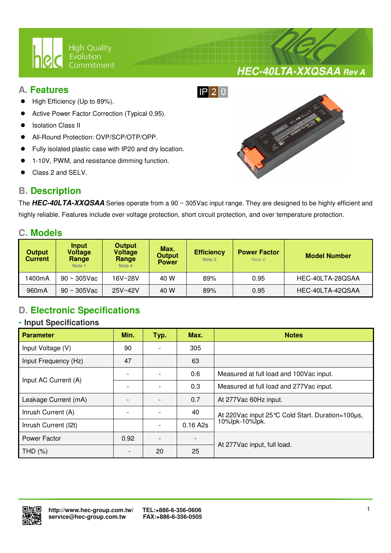

## **A. Features**

- High Efficiency (Up to 89%).
- Active Power Factor Correction (Typical 0.95).
- Isolation Class II
- All-Round Protection: OVP/SCP/OTP/OPP.
- Fully isolated plastic case with IP20 and dry location.

 $\overline{a}$ 

- 1-10V, PWM, and resistance dimming function.
- Class 2 and SELV.

## **B. Description**



**HEC-40LTA-XXQSAA Rev A**

The **HEC-40LTA-XXQSAA** Series operate from a 90 ~ 305Vac input range. They are designed to be highly efficient and highly reliable. Features include over voltage protection, short circuit protection, and over temperature protection.

## **C. Models**

| <b>Output</b><br><b>Current</b> | Input<br>Voltage<br>Range<br>Note 1 | <b>Output</b><br><b>Voltage</b><br>Range<br>Note 4 | Max.<br><b>Output</b><br><b>Power</b> | <b>Efficiency</b><br>Note 2 | <b>Power Factor</b><br>Note 2 | <b>Model Number</b> |  |
|---------------------------------|-------------------------------------|----------------------------------------------------|---------------------------------------|-----------------------------|-------------------------------|---------------------|--|
| 1400mA                          | $90 \sim 305$ Vac                   | 16V~28V                                            | 40 W                                  | 89%                         | 0.95                          | HEC-40LTA-28QSAA    |  |
| 960 <sub>m</sub> A              | $90 \sim 305$ Vac                   | 25V~42V                                            | 40 W                                  | 89%                         | 0.95                          | HEC-40LTA-42QSAA    |  |

# **D. Electronic Specifications**

### **- Input Specifications**

| <b>Parameter</b>     | Min.                         | Typ. | Max.     | <b>Notes</b>                                        |  |
|----------------------|------------------------------|------|----------|-----------------------------------------------------|--|
| Input Voltage (V)    | 90                           |      | 305      |                                                     |  |
| Input Frequency (Hz) | 47                           |      | 63       |                                                     |  |
| Input AC Current (A) |                              |      | 0.6      | Measured at full load and 100Vac input.             |  |
|                      |                              |      | 0.3      | Measured at full load and 277Vac input.             |  |
| Leakage Current (mA) |                              |      | 0.7      | At 277Vac 60Hz input.                               |  |
| Inrush Current (A)   |                              |      | 40       | At 220 Vac input 25 °C Cold Start. Duration=100 µs, |  |
| Inrush Current (I2t) |                              |      | 0.16 A2s | 10%lpk-10%lpk.                                      |  |
| Power Factor         | 0.92                         |      |          |                                                     |  |
| THD $(\%)$           | $\qquad \qquad \blacksquare$ | 20   | 25       | At 277Vac input, full load.                         |  |

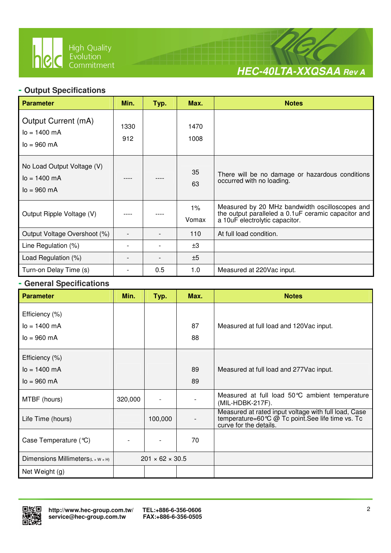

 $\overline{a}$ 



# **- Output Specifications**

| <b>Parameter</b>                                                          | Min.        | Typ. | Max.           | <b>Notes</b>                                                                                                                             |
|---------------------------------------------------------------------------|-------------|------|----------------|------------------------------------------------------------------------------------------------------------------------------------------|
| Output Current (mA)<br>$I_0 = 1400$ mA<br>$I_0 = 960$ mA                  | 1330<br>912 |      | 1470<br>1008   |                                                                                                                                          |
| No Load Output Voltage (V)<br>$I_0 = 1400$ mA<br>$I_0 = 960 \, \text{mA}$ |             |      | 35<br>63       | There will be no damage or hazardous conditions<br>occurred with no loading.                                                             |
| Output Ripple Voltage (V)                                                 |             |      | $1\%$<br>Vomax | Measured by 20 MHz bandwidth oscilloscopes and<br>the output paralleled a 0.1 uF ceramic capacitor and<br>a 10uF electrolytic capacitor. |
| Output Voltage Overshoot (%)                                              |             |      | 110            | At full load condition.                                                                                                                  |
| Line Regulation (%)                                                       |             |      | ±3             |                                                                                                                                          |
| Load Regulation (%)                                                       |             |      | ±5             |                                                                                                                                          |
| Turn-on Delay Time (s)                                                    |             | 0.5  | 1.0            | Measured at 220Vac input.                                                                                                                |

## **- General Specifications**

| <b>Parameter</b>                  | Min.    | Typ.                        | Max. | <b>Notes</b>                                                                                                                        |
|-----------------------------------|---------|-----------------------------|------|-------------------------------------------------------------------------------------------------------------------------------------|
| Efficiency (%)                    |         |                             |      |                                                                                                                                     |
| $lo = 1400$ mA                    |         |                             | 87   | Measured at full load and 120Vac input.                                                                                             |
| $I_0 = 960$ mA                    |         |                             | 88   |                                                                                                                                     |
| Efficiency (%)                    |         |                             |      |                                                                                                                                     |
| $lo = 1400$ mA                    |         |                             | 89   | Measured at full load and 277 Vac input.                                                                                            |
| $I_0 = 960$ mA                    |         |                             | 89   |                                                                                                                                     |
| MTBF (hours)                      | 320,000 |                             |      | Measured at full load 50°C ambient temperature<br>(MIL-HDBK-217F).                                                                  |
| Life Time (hours)                 |         | 100,000                     |      | Measured at rated input voltage with full load, Case<br>temperature=60 ℃ @ Tc point. See life time vs. Tc<br>curve for the details. |
| Case Temperature $(\mathcal{C})$  |         |                             | 70   |                                                                                                                                     |
| Dimensions Millimeters(L x W x H) |         | $201 \times 62 \times 30.5$ |      |                                                                                                                                     |
| Net Weight (g)                    |         |                             |      |                                                                                                                                     |

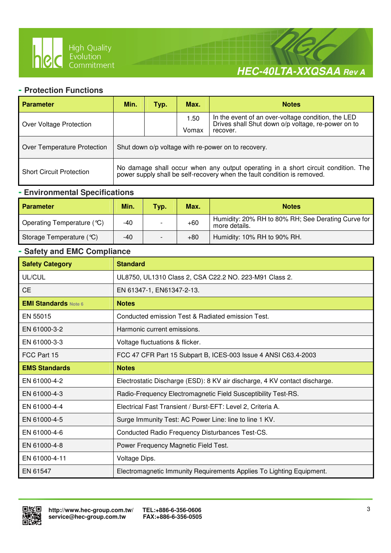

 $\overline{a}$ 



#### **- Protection Functions**

| <b>Parameter</b>                | Min.<br>Max.<br><b>Notes</b><br>Typ.                                                                                                                          |  |                                                                                                          |  |  |
|---------------------------------|---------------------------------------------------------------------------------------------------------------------------------------------------------------|--|----------------------------------------------------------------------------------------------------------|--|--|
| Over Voltage Protection         | 1.50<br>Vomax<br>recover.                                                                                                                                     |  | In the event of an over-voltage condition, the LED<br>Drives shall Shut down o/p voltage, re-power on to |  |  |
| Over Temperature Protection     | Shut down o/p voltage with re-power on to recovery.                                                                                                           |  |                                                                                                          |  |  |
| <b>Short Circuit Protection</b> | No damage shall occur when any output operating in a short circuit condition. The<br>power supply shall be self-recovery when the fault condition is removed. |  |                                                                                                          |  |  |

## **- Environmental Specifications**

| <b>Parameter</b>           | Min.  | <b>Typ.</b> | Max.  | <b>Notes</b>                                                        |
|----------------------------|-------|-------------|-------|---------------------------------------------------------------------|
| Operating Temperature (°C) | -40   |             | $+60$ | Humidity: 20% RH to 80% RH; See Derating Curve for<br>more details. |
| Storage Temperature $(C)$  | $-40$ |             | $+80$ | Humidity: 10% RH to 90% RH.                                         |

### **- Safety and EMC Compliance**

| <b>Safety Category</b>      | <b>Standard</b>                                                            |
|-----------------------------|----------------------------------------------------------------------------|
| UL/CUL                      | UL8750, UL1310 Class 2, CSA C22.2 NO. 223-M91 Class 2.                     |
| <b>CE</b>                   | EN 61347-1, EN61347-2-13.                                                  |
| <b>EMI Standards Note 6</b> | <b>Notes</b>                                                               |
| EN 55015                    | Conducted emission Test & Radiated emission Test.                          |
| EN 61000-3-2                | Harmonic current emissions.                                                |
| EN 61000-3-3                | Voltage fluctuations & flicker.                                            |
| FCC Part 15                 | FCC 47 CFR Part 15 Subpart B, ICES-003 Issue 4 ANSI C63.4-2003             |
| <b>EMS Standards</b>        | <b>Notes</b>                                                               |
| EN 61000-4-2                | Electrostatic Discharge (ESD): 8 KV air discharge, 4 KV contact discharge. |
| EN 61000-4-3                | Radio-Frequency Electromagnetic Field Susceptibility Test-RS.              |
| EN 61000-4-4                | Electrical Fast Transient / Burst-EFT: Level 2, Criteria A.                |
| EN 61000-4-5                | Surge Immunity Test: AC Power Line: line to line 1 KV.                     |
| EN 61000-4-6                | Conducted Radio Frequency Disturbances Test-CS.                            |
| EN 61000-4-8                | Power Frequency Magnetic Field Test.                                       |
| EN 61000-4-11               | Voltage Dips.                                                              |
| EN 61547                    | Electromagnetic Immunity Requirements Applies To Lighting Equipment.       |

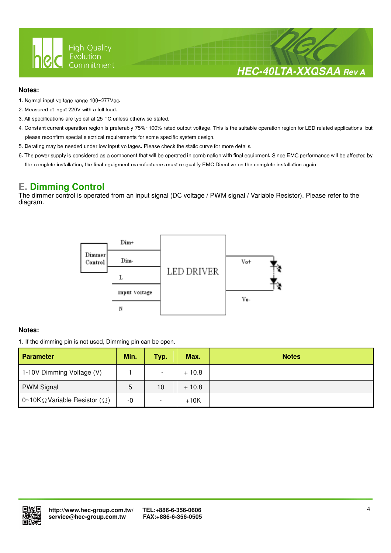

## **HEC-40LTA-XXQSAA Rev A**

#### **Notes:**

- 1. Normal input voltage range 100~277Vac.
- 2. Measured at input 220V with a full load.
- 3. All specifications are typical at 25 °C unless otherwise stated.

 $\overline{a}$ 

- 4. Constant current operation region is preferably 75%~100% rated output voltage. This is the suitable operation region for LED related applications, but please reconfirm special electrical requirements for some specific system design.
- 5. Derating may be needed under low input voltages. Please check the static curve for more details.
- 6. The power supply is considered as a component that will be operated in combination with final equipment. Since EMC performance will be affected by the complete installation, the final equipment manufacturers must re-qualify EMC Directive on the complete installation again

## **E. Dimming Control**

The dimmer control is operated from an input signal (DC voltage / PWM signal / Variable Resistor). Please refer to the diagram.



#### **Notes:**

1. If the dimming pin is not used, Dimming pin can be open.

| Parameter                                     | Min. | Typ.                     | Max.    | <b>Notes</b> |
|-----------------------------------------------|------|--------------------------|---------|--------------|
| 1-10V Dimming Voltage (V)                     |      | $\overline{\phantom{a}}$ | $+10.8$ |              |
| <b>PWM Signal</b>                             | 5    | 10                       | $+10.8$ |              |
| 0~10K $\Omega$ Variable Resistor ( $\Omega$ ) | -0   | $\overline{\phantom{a}}$ | $+10K$  |              |

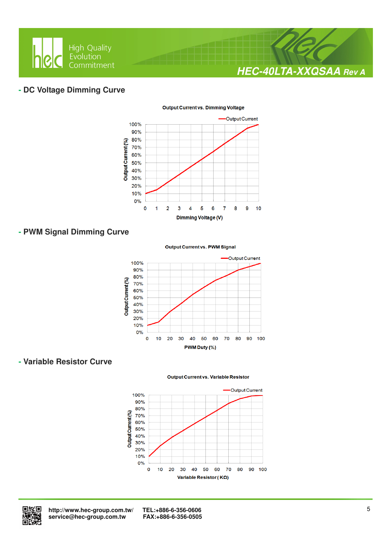

### **- DC Voltage Dimming Curve**



#### **Output Current vs. Dimming Voltage**

## **- PWM Signal Dimming Curve**

#### **Output Current vs. PWM Signal**



### **- Variable Resistor Curve**

#### **Output Current vs. Variable Resistor**





 **http://www.hec-group.com.tw/ TEL:+886-6-356-0606**   $s$ ervice@hec-group.com.tw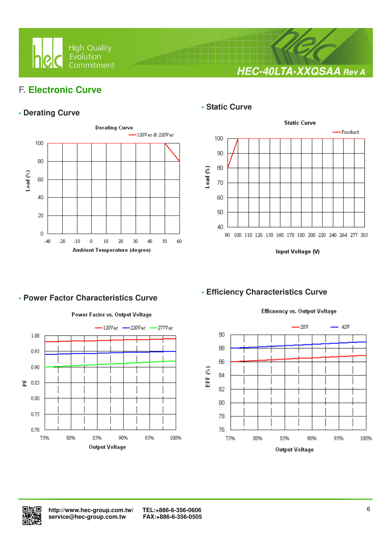

**HEC-40LTA-XXQSAA Rev A**

## **F. Electronic Curve**

## **- Derating Curve**



 $\overline{a}$ 

### **- Static Curve**



Input Voltage (V)

## **- Efficiency Characteristics Curve**



**- Power Factor Characteristics Curve** 

## Power Factor vs. Output Voltage

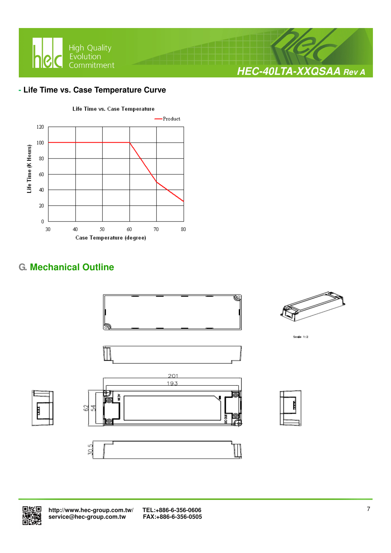

### **- Life Time vs. Case Temperature Curve**



# **G. Mechanical Outline**





 **http://www.hec-group.com.tw/ TEL:+886-6-356-0606**  service@hec-group.com.tw